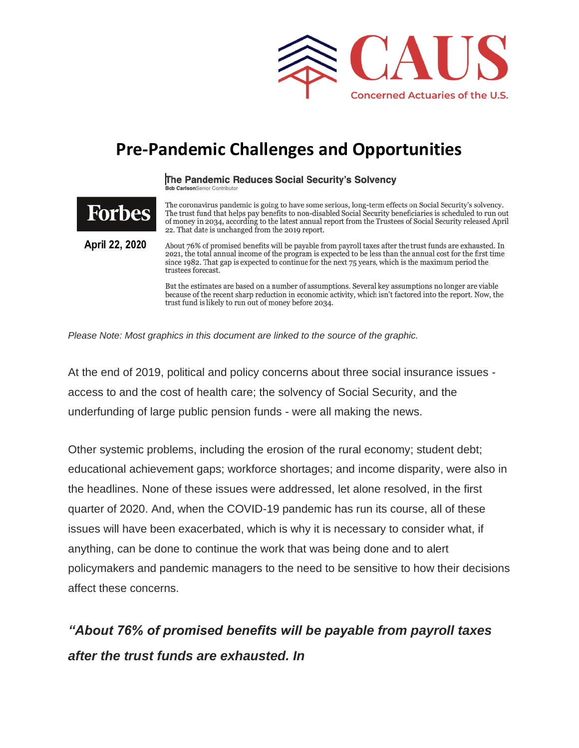

## **Pre-Pandemic Challenges and Opportunities**

The Pandemic Reduces Social Security's Solvency **Bob Carlson**Senior Contributo

The coronavirus pandemic is going to have some serious, long-term effects on Social Security's solvency.<br>The trust fund that helps pay benefits to non-disabled Social Security beneficiaries is scheduled to run out of money in 2034, according to the latest annual report from the Trustees of Social Security released April 22. That date is unchanged from the 2019 report.

April 22, 2020

Forbes

About 76% of promised benefits will be payable from payroll taxes after the trust funds are exhausted. In 2021, the total annual income of the program is expected to be less than the annual cost for the first time since 1982. That gap is expected to continue for the next 75 years, which is the maximum period the trustees forecast.

But the estimates are based on a number of assumptions. Several key assumptions no longer are viable because of the recent sharp reduction in economic activity, which isn't factored into the report. Now, the trust fund is likely to run out of money before 2034.

*Please Note: Most graphics in this document are linked to the source of the graphic.*

At the end of 2019, political and policy concerns about three social insurance issues access to and the cost of health care; the solvency of Social Security, and the underfunding of large public pension funds - were all making the news.

Other systemic problems, including the erosion of the rural economy; student debt; educational achievement gaps; workforce shortages; and income disparity, were also in the headlines. None of these issues were addressed, let alone resolved, in the first quarter of 2020. And, when the COVID-19 pandemic has run its course, all of these issues will have been exacerbated, which is why it is necessary to consider what, if anything, can be done to continue the work that was being done and to alert policymakers and pandemic managers to the need to be sensitive to how their decisions affect these concerns.

*"About 76% of promised benefits will be payable from payroll taxes after the trust funds are exhausted. In*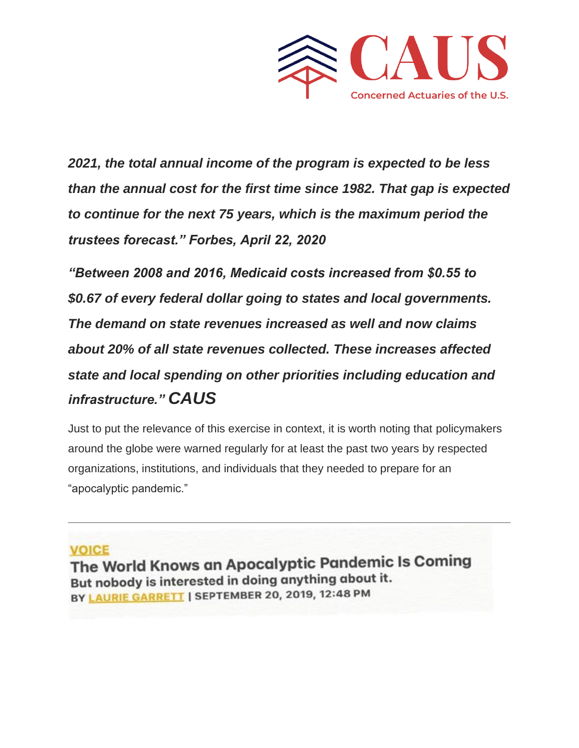

*2021, the total annual income of the program is expected to be less than the annual cost for the first time since 1982. That gap is expected to continue for the next 75 years, which is the maximum period the trustees forecast." Forbes, April 22, 2020*

*"Between 2008 and 2016, Medicaid costs increased from \$0.55 to \$0.67 of every federal dollar going to states and local governments. The demand on state revenues increased as well and now claims about 20% of all state revenues collected. These increases affected state and local spending on other priorities including education and infrastructure." CAUS*

Just to put the relevance of this exercise in context, it is worth noting that policymakers around the globe were warned regularly for at least the past two years by respected organizations, institutions, and individuals that they needed to prepare for an "apocalyptic pandemic."

#### **VOICE**

The World Knows an Apocalyptic Pandemic Is Coming But nobody is interested in doing anything about it. BY LAURIE GARRETT | SEPTEMBER 20, 2019, 12:48 PM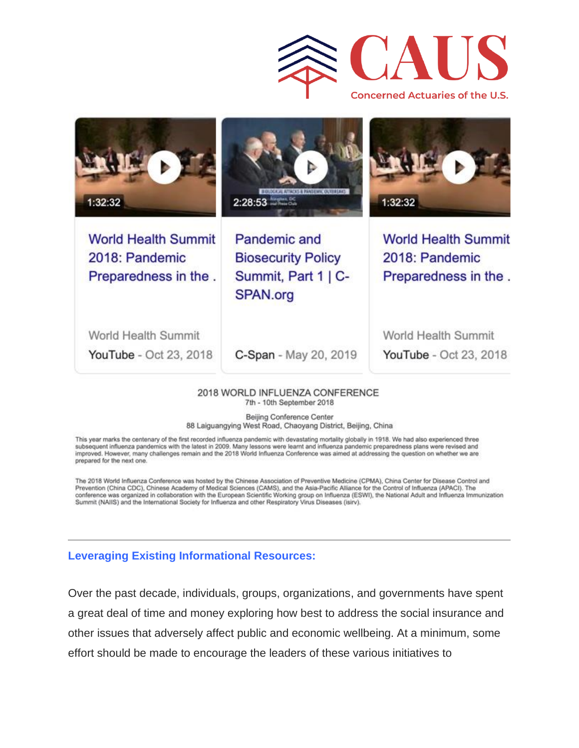



YouTube - Oct 23, 2018

C-Span - May 20, 2019

**YouTube** - Oct 23, 2018

#### 2018 WORLD INFLUENZA CONFERENCE 7th - 10th September 2018

Beijing Conference Center 88 Laiguangying West Road, Chaoyang District, Beijing, China

This year marks the centenary of the first recorded influenza pandemic with devastating mortality globally in 1918. We had also experienced three subsequent influenza pandemics with the latest in 2009. Many lessons were learnt and influenza pandemic preparedness plans were revised and improved. However, many challenges remain and the 2018 World Influenza Conference was aimed at addressing the question on whether we are prepared for the next one.

The 2018 World Influenza Conference was hosted by the Chinese Association of Preventive Medicine (CPMA), China Center for Disease Control and Prevention (China CDC), Chinese Academy of Medical Sciences (CAMS), and the Asia-Pacific Alliance for the Control of Influenza (APACI). The conference was organized in collaboration with the European Scientific Working group on Influenza (ESWI), the National Adult and Influenza Immunization Summit (NAIIS) and the International Society for Influenza and other Respiratory Virus Diseases (isirv).

#### **Leveraging Existing Informational Resources:**

Over the past decade, individuals, groups, organizations, and governments have spent a great deal of time and money exploring how best to address the social insurance and other issues that adversely affect public and economic wellbeing. At a minimum, some effort should be made to encourage the leaders of these various initiatives to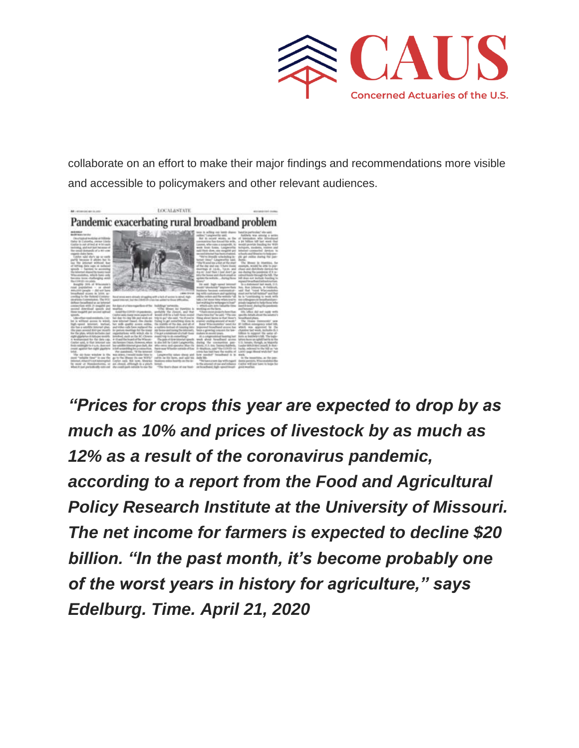

collaborate on an effort to make their major findings and recommendations more visible and accessible to policymakers and other relevant audiences.



*"Prices for crops this year are expected to drop by as much as 10% and prices of livestock by as much as 12% as a result of the coronavirus pandemic, according to a report from the Food and Agricultural Policy Research Institute at the University of Missouri. The net income for farmers is expected to decline \$20 billion. "In the past month, it's become probably one of the worst years in history for agriculture," says Edelburg. Time. April 21, 2020*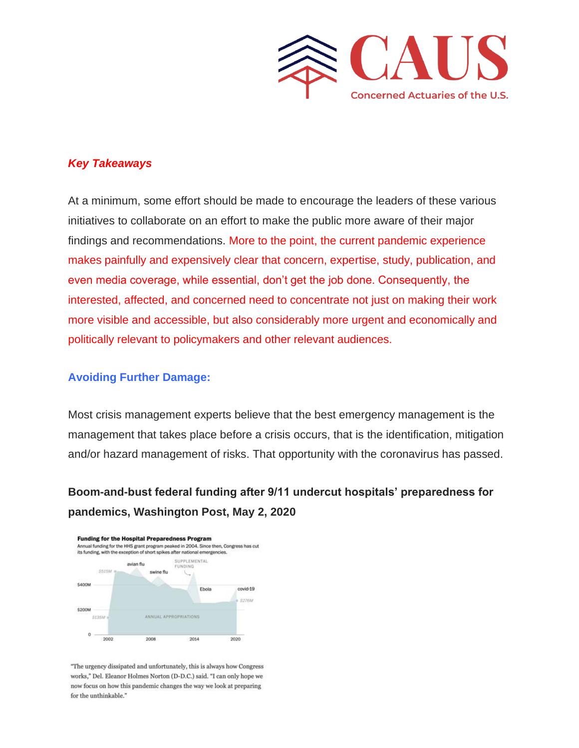

#### *Key Takeaways*

At a minimum, some effort should be made to encourage the leaders of these various initiatives to collaborate on an effort to make the public more aware of their major findings and recommendations. More to the point, the current pandemic experience makes painfully and expensively clear that concern, expertise, study, publication, and even media coverage, while essential, don't get the job done. Consequently, the interested, affected, and concerned need to concentrate not just on making their work more visible and accessible, but also considerably more urgent and economically and politically relevant to policymakers and other relevant audiences.

#### **Avoiding Further Damage:**

Most crisis management experts believe that the best emergency management is the management that takes place before a crisis occurs, that is the identification, mitigation and/or hazard management of risks. That opportunity with the coronavirus has passed.

### **Boom-and-bust federal funding after 9/11 undercut hospitals' preparedness for pandemics, Washington Post, May 2, 2020**



"The urgency dissipated and unfortunately, this is always how Congress works," Del. Eleanor Holmes Norton (D-D.C.) said. "I can only hope we now focus on how this pandemic changes the way we look at preparing for the unthinkable."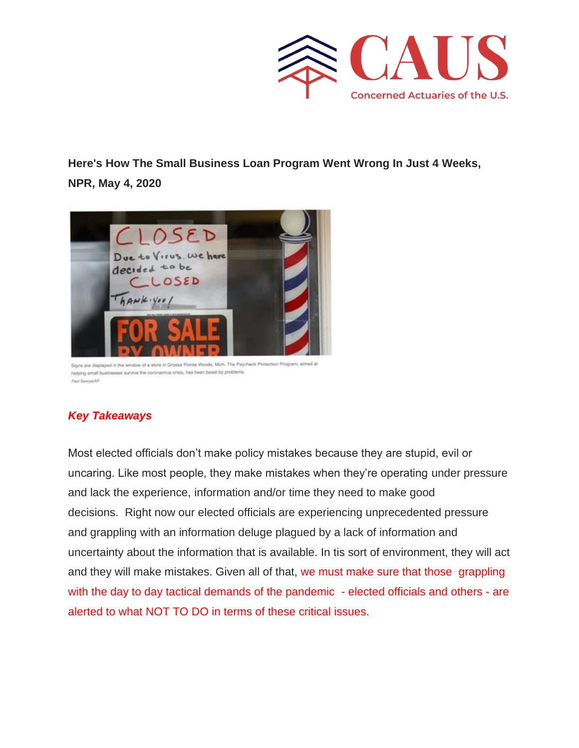

**Here's How The Small Business Loan Program Went Wrong In Just 4 Weeks, NPR, May 4, 2020**



Signs are displayed in the window of a store in Grosse Pointe Woods, Mich. The Paychack Protection Program, aimed at helping small businesses survive the coronavirus crisis, has been beset by problems. Paul Sancyalkin

#### *Key Takeaways*

Most elected officials don't make policy mistakes because they are stupid, evil or uncaring. Like most people, they make mistakes when they're operating under pressure and lack the experience, information and/or time they need to make good decisions. Right now our elected officials are experiencing unprecedented pressure and grappling with an information deluge plagued by a lack of information and uncertainty about the information that is available. In tis sort of environment, they will act and they will make mistakes. Given all of that, we must make sure that those grappling with the day to day tactical demands of the pandemic - elected officials and others - are alerted to what NOT TO DO in terms of these critical issues.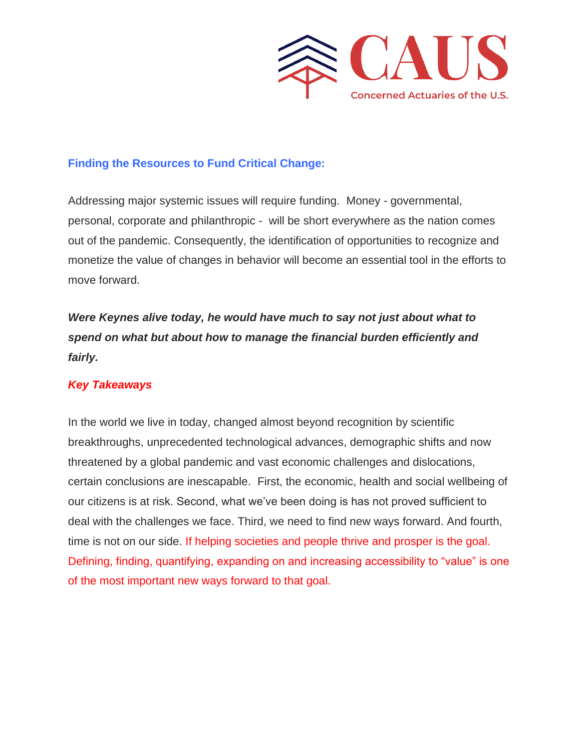

#### **Finding the Resources to Fund Critical Change:**

Addressing major systemic issues will require funding. Money - governmental, personal, corporate and philanthropic - will be short everywhere as the nation comes out of the pandemic. Consequently, the identification of opportunities to recognize and monetize the value of changes in behavior will become an essential tool in the efforts to move forward.

*Were Keynes alive today, he would have much to say not just about what to spend on what but about how to manage the financial burden efficiently and fairly.*

#### *Key Takeaways*

In the world we live in today, changed almost beyond recognition by scientific breakthroughs, unprecedented technological advances, demographic shifts and now threatened by a global pandemic and vast economic challenges and dislocations, certain conclusions are inescapable. First, the economic, health and social wellbeing of our citizens is at risk. Second, what we've been doing is has not proved sufficient to deal with the challenges we face. Third, we need to find new ways forward. And fourth, time is not on our side. If helping societies and people thrive and prosper is the goal. Defining, finding, quantifying, expanding on and increasing accessibility to "value" is one of the most important new ways forward to that goal.